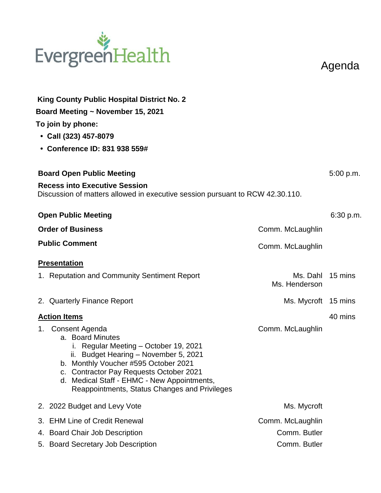## EvergreenHealth

Agenda

| King County Public Hospital District No. 2<br>Board Meeting ~ November 15, 2021<br>To join by phone:<br>• Call (323) 457-8079<br>• Conference ID: 831 938 559#                                                                                                                                             |                                   |           |
|------------------------------------------------------------------------------------------------------------------------------------------------------------------------------------------------------------------------------------------------------------------------------------------------------------|-----------------------------------|-----------|
| <b>Board Open Public Meeting</b>                                                                                                                                                                                                                                                                           |                                   | 5:00 p.m. |
| <b>Recess into Executive Session</b><br>Discussion of matters allowed in executive session pursuant to RCW 42.30.110.                                                                                                                                                                                      |                                   |           |
| <b>Open Public Meeting</b>                                                                                                                                                                                                                                                                                 |                                   | 6:30 p.m. |
| <b>Order of Business</b>                                                                                                                                                                                                                                                                                   | Comm. McLaughlin                  |           |
| <b>Public Comment</b>                                                                                                                                                                                                                                                                                      | Comm. McLaughlin                  |           |
| <b>Presentation</b>                                                                                                                                                                                                                                                                                        |                                   |           |
| 1. Reputation and Community Sentiment Report                                                                                                                                                                                                                                                               | Ms. Dahl 15 mins<br>Ms. Henderson |           |
| 2. Quarterly Finance Report                                                                                                                                                                                                                                                                                | Ms. Mycroft 15 mins               |           |
| <b>Action Items</b>                                                                                                                                                                                                                                                                                        |                                   | 40 mins   |
| 1. Consent Agenda<br>a. Board Minutes<br>i. Regular Meeting - October 19, 2021<br>ii. Budget Hearing - November 5, 2021<br>b. Monthly Voucher #595 October 2021<br>c. Contractor Pay Requests October 2021<br>d. Medical Staff - EHMC - New Appointments,<br>Reappointments, Status Changes and Privileges | Comm. McLaughlin                  |           |
| 2. 2022 Budget and Levy Vote                                                                                                                                                                                                                                                                               | Ms. Mycroft                       |           |
| <b>EHM Line of Credit Renewal</b><br>3.                                                                                                                                                                                                                                                                    | Comm. McLaughlin                  |           |
| 4. Board Chair Job Description<br>5. Board Secretary Job Description                                                                                                                                                                                                                                       | Comm. Butler<br>Comm. Butler      |           |
|                                                                                                                                                                                                                                                                                                            |                                   |           |